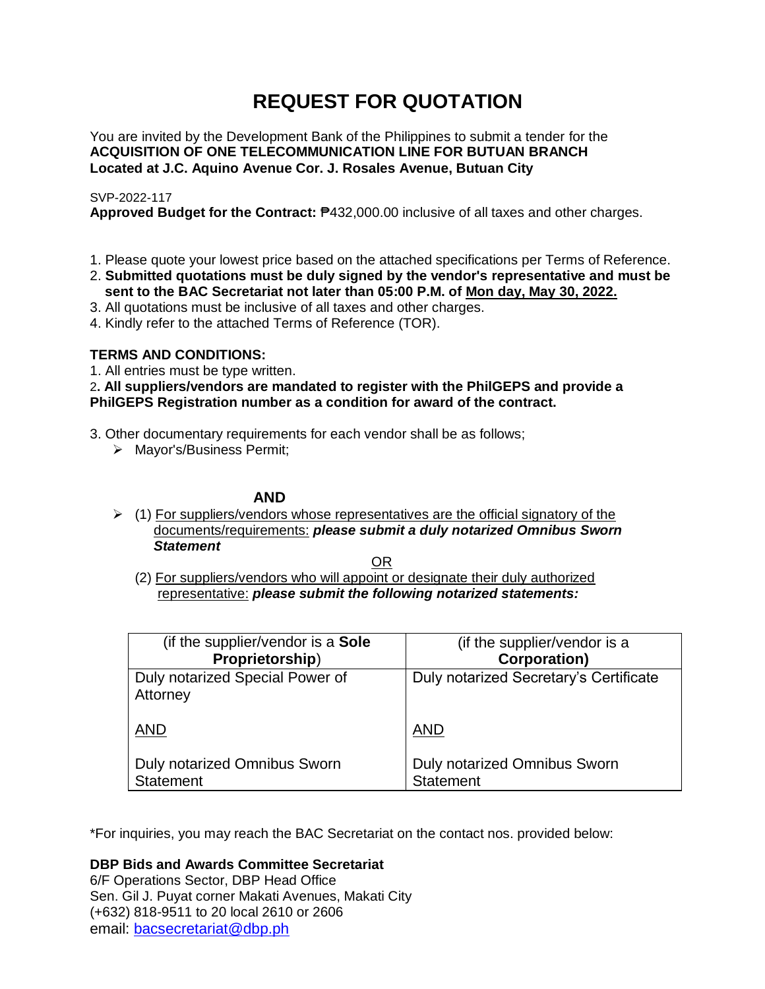# **REQUEST FOR QUOTATION**

You are invited by the Development Bank of the Philippines to submit a tender for the **ACQUISITION OF ONE TELECOMMUNICATION LINE FOR BUTUAN BRANCH Located at J.C. Aquino Avenue Cor. J. Rosales Avenue, Butuan City**

# SVP-2022-117

**Approved Budget for the Contract:** ₱432,000.00 inclusive of all taxes and other charges.

- 1. Please quote your lowest price based on the attached specifications per Terms of Reference.
- 2. **Submitted quotations must be duly signed by the vendor's representative and must be sent to the BAC Secretariat not later than 05:00 P.M. of Mon day, May 30, 2022.**
- 3. All quotations must be inclusive of all taxes and other charges.
- 4. Kindly refer to the attached Terms of Reference (TOR).

# **TERMS AND CONDITIONS:**

1. All entries must be type written.

2**. All suppliers/vendors are mandated to register with the PhilGEPS and provide a PhilGEPS Registration number as a condition for award of the contract.**

- 3. Other documentary requirements for each vendor shall be as follows;
	- > Mayor's/Business Permit;

# **AND**

 $\geq$  (1) For suppliers/vendors whose representatives are the official signatory of the documents/requirements: *please submit a duly notarized Omnibus Sworn Statement*

<u>OR Starting and the Starting OR Starting</u>

(2) For suppliers/vendors who will appoint or designate their duly authorized representative: *please submit the following notarized statements:*

| (if the supplier/vendor is a Sole                | (if the supplier/vendor is a                     |
|--------------------------------------------------|--------------------------------------------------|
| Proprietorship)                                  | <b>Corporation)</b>                              |
| Duly notarized Special Power of<br>Attorney      | Duly notarized Secretary's Certificate           |
| <b>AND</b>                                       | <b>AND</b>                                       |
| Duly notarized Omnibus Sworn<br><b>Statement</b> | Duly notarized Omnibus Sworn<br><b>Statement</b> |

\*For inquiries, you may reach the BAC Secretariat on the contact nos. provided below:

**DBP Bids and Awards Committee Secretariat** 

6/F Operations Sector, DBP Head Office Sen. Gil J. Puyat corner Makati Avenues, Makati City (+632) 818-9511 to 20 local 2610 or 2606 email: [bacsecretariat@dbp.ph](mailto:bacsecretariat@dbp.ph)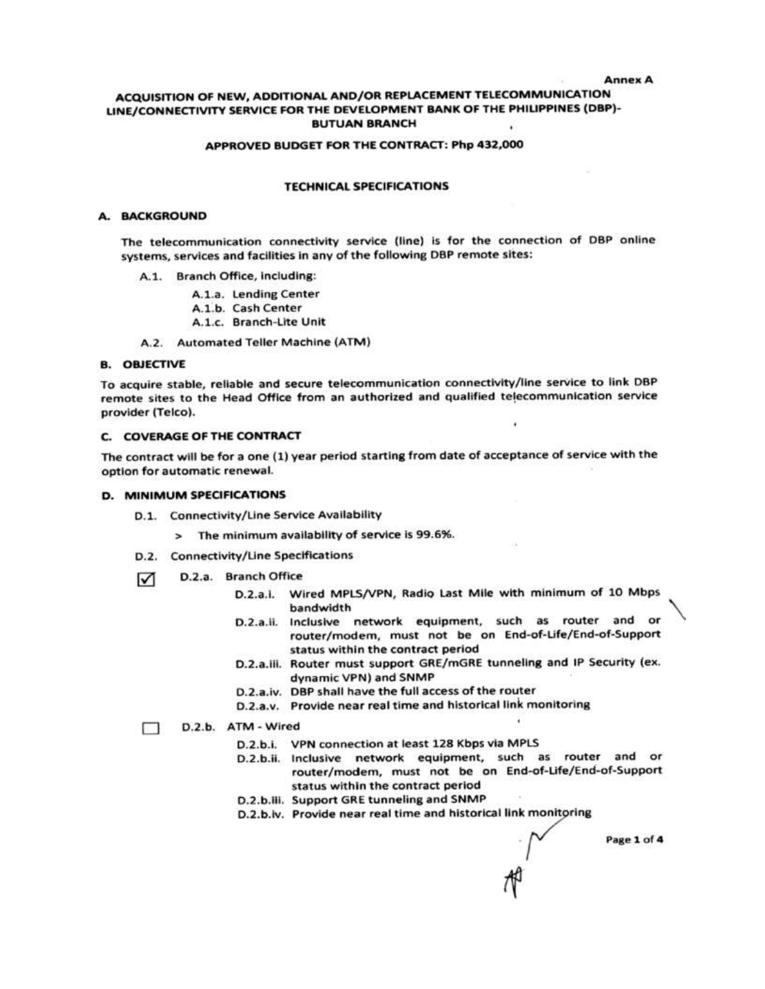#### **Annex A**

## ACQUISITION OF NEW, ADDITIONAL AND/OR REPLACEMENT TELECOMMUNICATION LINE/CONNECTIVITY SERVICE FOR THE DEVELOPMENT BANK OF THE PHILIPPINES (DBP)-**BUTUAN BRANCH**

#### APPROVED BUDGET FOR THE CONTRACT: Php 432,000

#### **TECHNICAL SPECIFICATIONS**

### A. BACKGROUND

The telecommunication connectivity service (line) is for the connection of DBP online systems, services and facilities in any of the following DBP remote sites:

- A.1. Branch Office, including:
	- A.1.a. Lending Center
	- A.1.b. Cash Center
	- A.1.c. Branch-Lite Unit
- A.2. Automated Teller Machine (ATM)

### **B. OBJECTIVE**

To acquire stable, reliable and secure telecommunication connectivity/line service to link DBP remote sites to the Head Office from an authorized and qualified telecommunication service provider (Telco).

#### C. COVERAGE OF THE CONTRACT

The contract will be for a one (1) year period starting from date of acceptance of service with the option for automatic renewal.

#### D. MINIMUM SPECIFICATIONS

- D.1. Connectivity/Line Service Availability
	- > The minimum availability of service is 99.6%.
- D.2. Connectivity/Line Specifications
- D.2.a. Branch Office ☑
	- D.2.a.i. Wired MPLS/VPN, Radio Last Mile with minimum of 10 Mbps bandwidth
	- D.2.a.ii. Inclusive network equipment, such as router and or router/modem, must not be on End-of-Life/End-of-Support status within the contract period
	- D.2.a.iii. Router must support GRE/mGRE tunneling and IP Security (ex. dynamic VPN) and SNMP
	- D.2.a.iv. DBP shall have the full access of the router
	- D.2.a.v. Provide near real time and historical link monitoring

#### D.2.b. ATM - Wired П.

- D.2.b.i. VPN connection at least 128 Kbps via MPLS
- D.2.b.ii. Inclusive network equipment, such as router and or router/modem, must not be on End-of-Life/End-of-Support status within the contract period
- D.2.b.iii. Support GRE tunneling and SNMP
- D.2.b.iv. Provide near real time and historical link monitoring

Page 1 of 4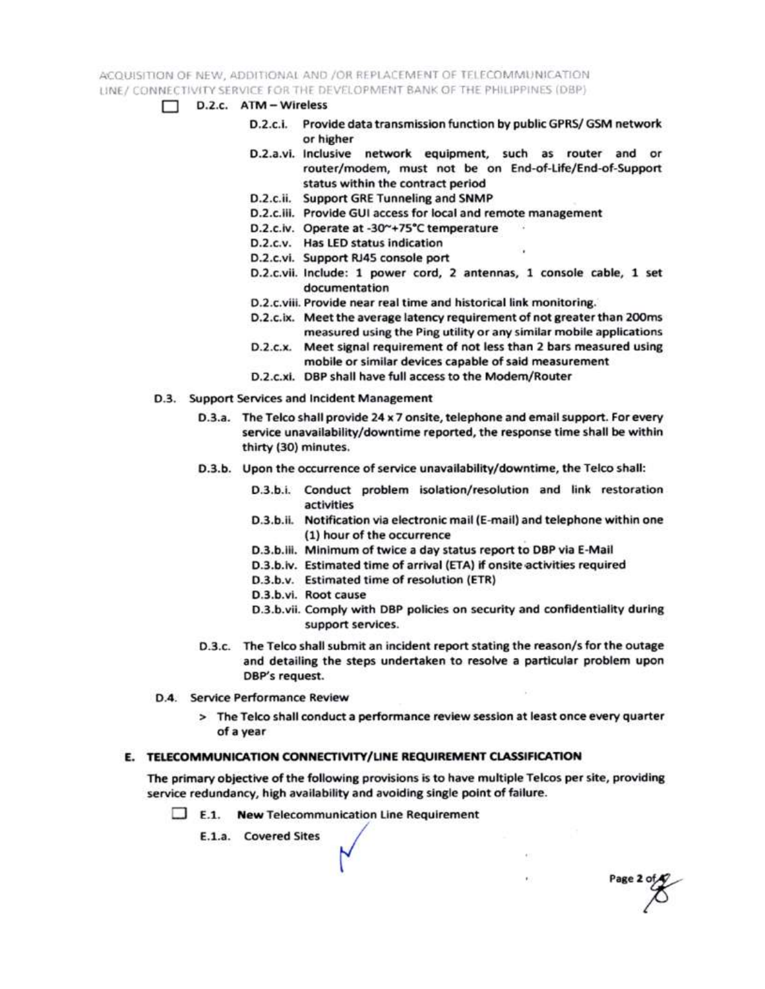ACQUISITION OF NEW, ADDITIONAL AND /OR REPLACEMENT OF TELECOMMUNICATION LINE / CONNECTIVITY SERVICE FOR THE DEVELOPMENT BANK OF THE PHILIPPINES (DBP)

- $\Box$  D.2.c. ATM Wireless
	- D.2.c.i. Provide data transmission function by public GPRS/ GSM network or higher
	- D.2.a.vi. Inclusive network equipment, such as router and or router/modem, must not be on End-of-Life/End-of-Support status within the contract period
	- D.2.c.ii. Support GRE Tunneling and SNMP
	- D.2.c.iii. Provide GUI access for local and remote management
	- D.2.c.iv. Operate at -30~+75°C temperature
	- D.2.c.v. Has LED status indication
	- D.2.c.vi. Support RJ45 console port
	- D.2.c.vii. Include: 1 power cord, 2 antennas, 1 console cable, 1 set documentation
	- D.2.c.viii. Provide near real time and historical link monitoring.
	- D.2.c.ix. Meet the average latency requirement of not greater than 200ms measured using the Ping utility or any similar mobile applications
	- D.2.c.x. Meet signal requirement of not less than 2 bars measured using mobile or similar devices capable of said measurement
	- D.2.c.xi. DBP shall have full access to the Modem/Router
- D.3. Support Services and Incident Management
	- D.3.a. The Telco shall provide 24 x 7 onsite, telephone and email support. For every service unavailability/downtime reported, the response time shall be within thirty (30) minutes.
	- D.3.b. Upon the occurrence of service unavailability/downtime, the Telco shall:
		- D.3.b.i. Conduct problem isolation/resolution and link restoration activities
		- D.3.b.ii. Notification via electronic mail (E-mail) and telephone within one (1) hour of the occurrence
		- D.3.b.iii. Minimum of twice a day status report to DBP via E-Mail
		- D.3.b.iv. Estimated time of arrival (ETA) if onsite activities required
		- D.3.b.v. Estimated time of resolution (ETR)
		- D.3.b.vi. Root cause
		- D.3.b.vii. Comply with DBP policies on security and confidentiality during support services.

Page 2 of

- D.3.c. The Telco shall submit an incident report stating the reason/s for the outage and detailing the steps undertaken to resolve a particular problem upon DBP's request.
- D.4. Service Performance Review
	- > The Telco shall conduct a performance review session at least once every quarter of a year

# E. TELECOMMUNICATION CONNECTIVITY/LINE REQUIREMENT CLASSIFICATION

The primary objective of the following provisions is to have multiple Telcos per site, providing service redundancy, high availability and avoiding single point of failure.

 $\Box$  E.1. New Telecommunication Line Requirement

E.1.a. Covered Sites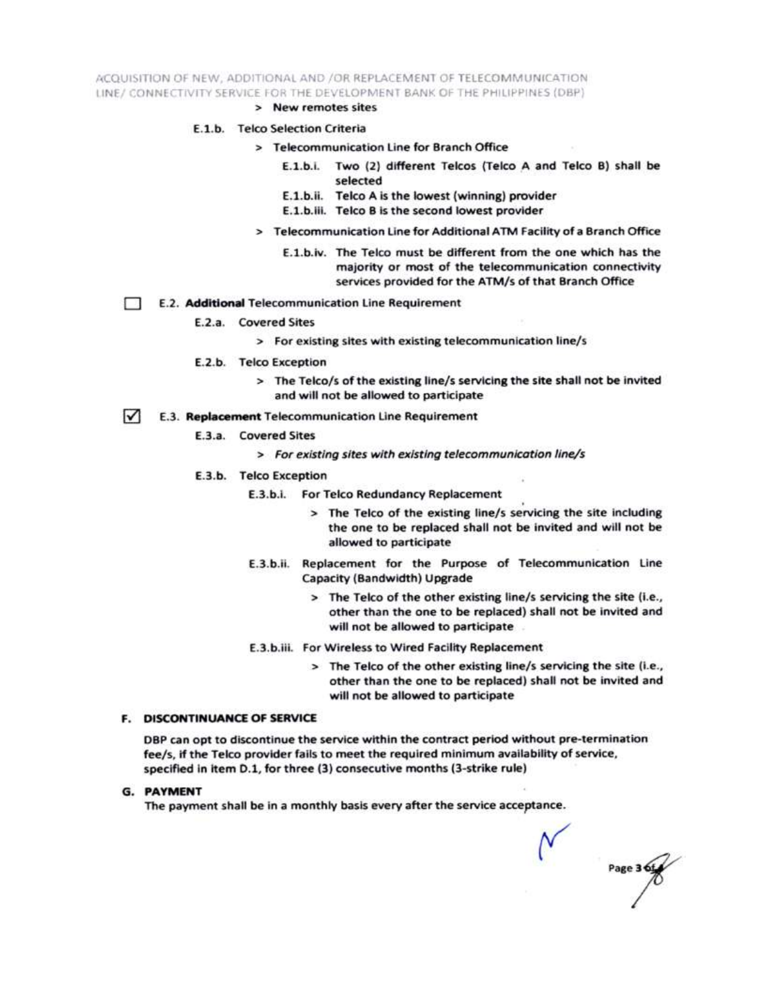ACQUISITION OF NEW, ADDITIONAL AND /OR REPLACEMENT OF TELECOMMUNICATION LINE/ CONNECTIVITY SERVICE FOR THE DEVELOPMENT BANK OF THE PHILIPPINES (DBP)

> New remotes sites

### E.1.b. Telco Selection Criteria

- > Telecommunication Line for Branch Office
	- E.1.b.i. Two (2) different Telcos (Telco A and Telco B) shall be selected
	- E.1.b.ii. Telco A is the lowest (winning) provider
	- E.1.b.iii. Telco B is the second lowest provider
- > Telecommunication Line for Additional ATM Facility of a Branch Office
	- E.1.b.iv. The Telco must be different from the one which has the majority or most of the telecommunication connectivity services provided for the ATM/s of that Branch Office
- E.2. Additional Telecommunication Line Requirement Ð
	- E.2.a. Covered Sites
		- > For existing sites with existing telecommunication line/s
	- E.2.b. Telco Exception
		- > The Telco/s of the existing line/s servicing the site shall not be invited and will not be allowed to participate
- $\sqrt{ }$ E.3. Replacement Telecommunication Line Requirement
	- E.3.a. Covered Sites
		- > For existing sites with existing telecommunication line/s
	- E.3.b. Telco Exception
		- E.3.b.i. For Telco Redundancy Replacement
			- > The Telco of the existing line/s servicing the site including the one to be replaced shall not be invited and will not be allowed to participate
		- E.3.b.ii. Replacement for the Purpose of Telecommunication Line Capacity (Bandwidth) Upgrade
			- > The Telco of the other existing line/s servicing the site (i.e., other than the one to be replaced) shall not be invited and will not be allowed to participate
		- E.3.b.iii. For Wireless to Wired Facility Replacement
			- > The Telco of the other existing line/s servicing the site (i.e., other than the one to be replaced) shall not be invited and will not be allowed to participate

#### **F. DISCONTINUANCE OF SERVICE**

DBP can opt to discontinue the service within the contract period without pre-termination fee/s, if the Telco provider fails to meet the required minimum availability of service, specified in item D.1, for three (3) consecutive months (3-strike rule)

**G. PAYMENT** 

The payment shall be in a monthly basis every after the service acceptance.

Page 3 6t